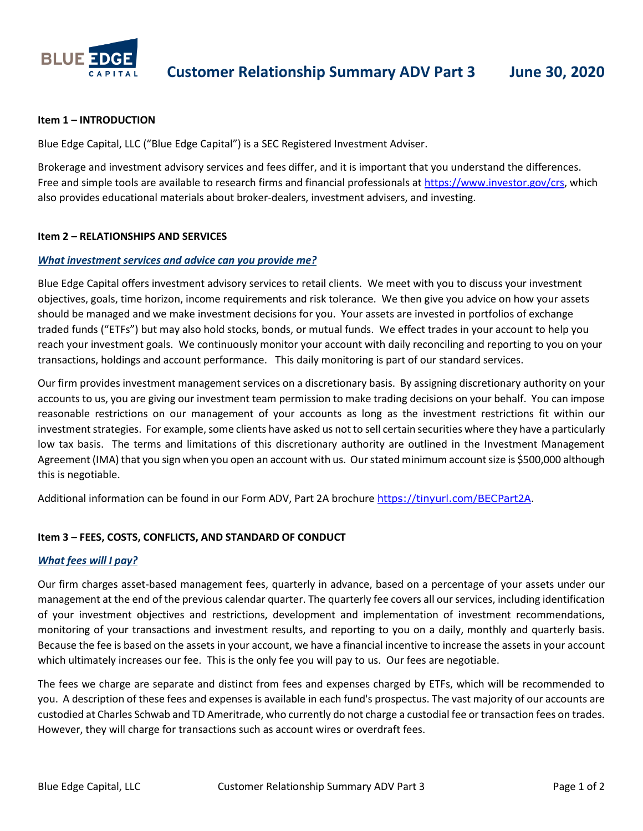

### **Item 1 – INTRODUCTION**

Blue Edge Capital, LLC ("Blue Edge Capital") is a SEC Registered Investment Adviser.

Brokerage and investment advisory services and fees differ, and it is important that you understand the differences. Free and simple tools are available to research firms and financial professionals at [https://www.investor.gov/crs,](https://www.investor.gov/crs) which also provides educational materials about broker-dealers, investment advisers, and investing.

# **Item 2 – RELATIONSHIPS AND SERVICES**

# *What investment services and advice can you provide me?*

Blue Edge Capital offers investment advisory services to retail clients. We meet with you to discuss your investment objectives, goals, time horizon, income requirements and risk tolerance. We then give you advice on how your assets should be managed and we make investment decisions for you. Your assets are invested in portfolios of exchange traded funds ("ETFs") but may also hold stocks, bonds, or mutual funds. We effect trades in your account to help you reach your investment goals. We continuously monitor your account with daily reconciling and reporting to you on your transactions, holdings and account performance. This daily monitoring is part of our standard services.

Our firm provides investment management services on a discretionary basis. By assigning discretionary authority on your accounts to us, you are giving our investment team permission to make trading decisions on your behalf. You can impose reasonable restrictions on our management of your accounts as long as the investment restrictions fit within our investment strategies. For example, some clients have asked us not to sell certain securities where they have a particularly low tax basis. The terms and limitations of this discretionary authority are outlined in the Investment Management Agreement (IMA) that you sign when you open an account with us. Our stated minimum account size is \$500,000 although this is negotiable.

Additional information can be found in our Form ADV, Part 2A brochure <https://tinyurl.com/BECPart2A>.

# **Item 3 – FEES, COSTS, CONFLICTS, AND STANDARD OF CONDUCT**

### *What fees will I pay?*

Our firm charges asset-based management fees, quarterly in advance, based on a percentage of your assets under our management at the end of the previous calendar quarter. The quarterly fee covers all our services, including identification of your investment objectives and restrictions, development and implementation of investment recommendations, monitoring of your transactions and investment results, and reporting to you on a daily, monthly and quarterly basis. Because the fee is based on the assets in your account, we have a financial incentive to increase the assets in your account which ultimately increases our fee. This is the only fee you will pay to us. Our fees are negotiable.

The fees we charge are separate and distinct from fees and expenses charged by ETFs, which will be recommended to you. A description of these fees and expenses is available in each fund's prospectus. The vast majority of our accounts are custodied at Charles Schwab and TD Ameritrade, who currently do not charge a custodial fee or transaction fees on trades. However, they will charge for transactions such as account wires or overdraft fees.